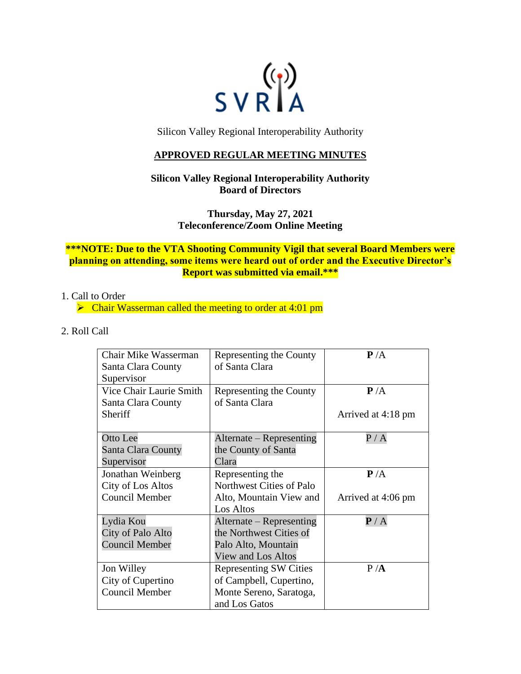

Silicon Valley Regional Interoperability Authority

## **APPROVED REGULAR MEETING MINUTES**

## **Silicon Valley Regional Interoperability Authority Board of Directors**

**Thursday, May 27, 2021 Teleconference/Zoom Online Meeting**

## **\*\*\*NOTE: Due to the VTA Shooting Community Vigil that several Board Members were planning on attending, some items were heard out of order and the Executive Director's Report was submitted via email.\*\*\***

## 1. Call to Order

 $\triangleright$  Chair Wasserman called the meeting to order at 4:01 pm

2. Roll Call

| <b>Chair Mike Wasserman</b> | Representing the County       | P/A                       |
|-----------------------------|-------------------------------|---------------------------|
| Santa Clara County          | of Santa Clara                |                           |
| Supervisor                  |                               |                           |
| Vice Chair Laurie Smith     | Representing the County       | P/A                       |
| Santa Clara County          | of Santa Clara                |                           |
| Sheriff                     |                               | Arrived at 4:18 pm        |
|                             |                               |                           |
| Otto Lee                    | Alternate – Representing      | $\rm P$ / $\rm A$         |
| Santa Clara County          | the County of Santa           |                           |
| Supervisor                  | Clara                         |                           |
| Jonathan Weinberg           | Representing the              | P/A                       |
| City of Los Altos           | Northwest Cities of Palo      |                           |
| <b>Council Member</b>       | Alto, Mountain View and       | Arrived at 4:06 pm        |
|                             | Los Altos                     |                           |
| Lydia Kou                   | Alternate – Representing      | $\mathbf{P}/\,\mathrm{A}$ |
| City of Palo Alto           | the Northwest Cities of       |                           |
| <b>Council Member</b>       | Palo Alto, Mountain           |                           |
|                             | View and Los Altos            |                           |
| Jon Willey                  | <b>Representing SW Cities</b> | P/A                       |
| City of Cupertino           | of Campbell, Cupertino,       |                           |
| <b>Council Member</b>       | Monte Sereno, Saratoga,       |                           |
|                             | and Los Gatos                 |                           |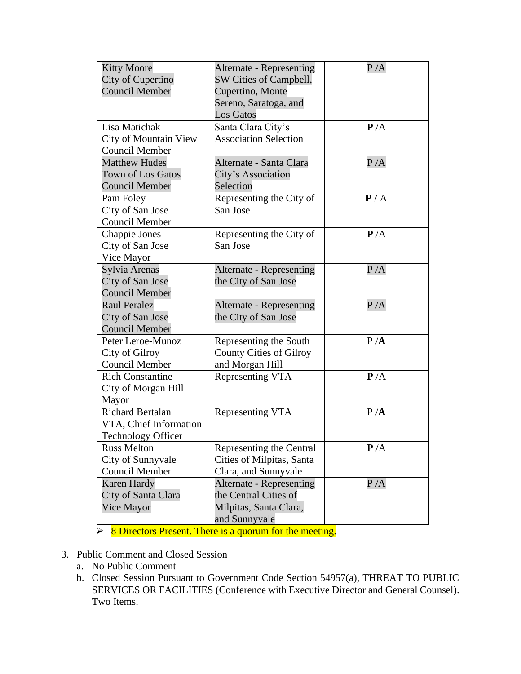| <b>Kitty Moore</b><br>City of Cupertino<br><b>Council Member</b>               | <b>Alternate - Representing</b><br>SW Cities of Campbell,<br>Cupertino, Monte<br>Sereno, Saratoga, and<br><b>Los Gatos</b> | P/A |
|--------------------------------------------------------------------------------|----------------------------------------------------------------------------------------------------------------------------|-----|
| Lisa Matichak<br>City of Mountain View<br><b>Council Member</b>                | Santa Clara City's<br><b>Association Selection</b>                                                                         | P/A |
| <b>Matthew Hudes</b><br><b>Town of Los Gatos</b><br><b>Council Member</b>      | Alternate - Santa Clara<br>City's Association<br>Selection                                                                 | P/A |
| Pam Foley<br>City of San Jose<br>Council Member                                | Representing the City of<br>San Jose                                                                                       | P/A |
| Chappie Jones<br>City of San Jose<br>Vice Mayor                                | Representing the City of<br>San Jose                                                                                       | P/A |
| Sylvia Arenas<br>City of San Jose<br><b>Council Member</b>                     | <b>Alternate - Representing</b><br>the City of San Jose                                                                    | P/A |
| <b>Raul Peralez</b><br>City of San Jose<br><b>Council Member</b>               | <b>Alternate - Representing</b><br>the City of San Jose                                                                    | P/A |
| Peter Leroe-Munoz<br>City of Gilroy<br>Council Member                          | Representing the South<br><b>County Cities of Gilroy</b><br>and Morgan Hill                                                | P/A |
| <b>Rich Constantine</b><br>City of Morgan Hill<br>Mayor                        | Representing VTA                                                                                                           | P/A |
| <b>Richard Bertalan</b><br>VTA, Chief Information<br><b>Technology Officer</b> | Representing VTA                                                                                                           | P/A |
| <b>Russ Melton</b><br>City of Sunnyvale<br><b>Council Member</b>               | Representing the Central<br>Cities of Milpitas, Santa<br>Clara, and Sunnyvale                                              | P/A |
| <b>Karen Hardy</b><br>City of Santa Clara<br>Vice Mayor                        | <b>Alternate - Representing</b><br>the Central Cities of<br>Milpitas, Santa Clara,<br>and Sunnyvale                        | P/A |

 $\triangleright$  8 Directors Present. There is a quorum for the meeting.

- 3. Public Comment and Closed Session
	- a. No Public Comment
	- b. Closed Session Pursuant to Government Code Section 54957(a), THREAT TO PUBLIC SERVICES OR FACILITIES (Conference with Executive Director and General Counsel). Two Items.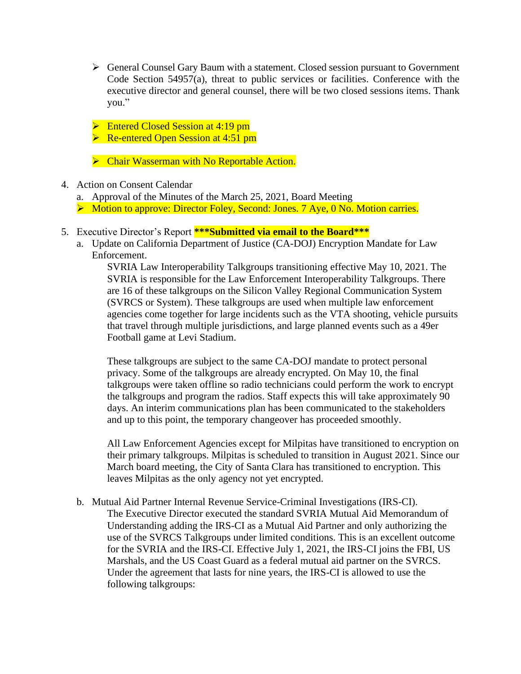- ➢ General Counsel Gary Baum with a statement. Closed session pursuant to Government Code Section 54957(a), threat to public services or facilities. Conference with the executive director and general counsel, there will be two closed sessions items. Thank you."
- ➢ Entered Closed Session at 4:19 pm
- ➢ Re-entered Open Session at 4:51 pm
- ➢ Chair Wasserman with No Reportable Action.
- 4. Action on Consent Calendar
	- a. Approval of the Minutes of the March 25, 2021, Board Meeting
	- ➢ Motion to approve: Director Foley, Second: Jones. 7 Aye, 0 No. Motion carries.
- 5. Executive Director's Report **\*\*\*Submitted via email to the Board\*\*\***
	- a. Update on California Department of Justice (CA-DOJ) Encryption Mandate for Law Enforcement.

SVRIA Law Interoperability Talkgroups transitioning effective May 10, 2021. The SVRIA is responsible for the Law Enforcement Interoperability Talkgroups. There are 16 of these talkgroups on the Silicon Valley Regional Communication System (SVRCS or System). These talkgroups are used when multiple law enforcement agencies come together for large incidents such as the VTA shooting, vehicle pursuits that travel through multiple jurisdictions, and large planned events such as a 49er Football game at Levi Stadium.

These talkgroups are subject to the same CA-DOJ mandate to protect personal privacy. Some of the talkgroups are already encrypted. On May 10, the final talkgroups were taken offline so radio technicians could perform the work to encrypt the talkgroups and program the radios. Staff expects this will take approximately 90 days. An interim communications plan has been communicated to the stakeholders and up to this point, the temporary changeover has proceeded smoothly.

All Law Enforcement Agencies except for Milpitas have transitioned to encryption on their primary talkgroups. Milpitas is scheduled to transition in August 2021. Since our March board meeting, the City of Santa Clara has transitioned to encryption. This leaves Milpitas as the only agency not yet encrypted.

b. Mutual Aid Partner Internal Revenue Service-Criminal Investigations (IRS-CI). The Executive Director executed the standard SVRIA Mutual Aid Memorandum of Understanding adding the IRS-CI as a Mutual Aid Partner and only authorizing the use of the SVRCS Talkgroups under limited conditions. This is an excellent outcome for the SVRIA and the IRS-CI. Effective July 1, 2021, the IRS-CI joins the FBI, US Marshals, and the US Coast Guard as a federal mutual aid partner on the SVRCS. Under the agreement that lasts for nine years, the IRS-CI is allowed to use the following talkgroups: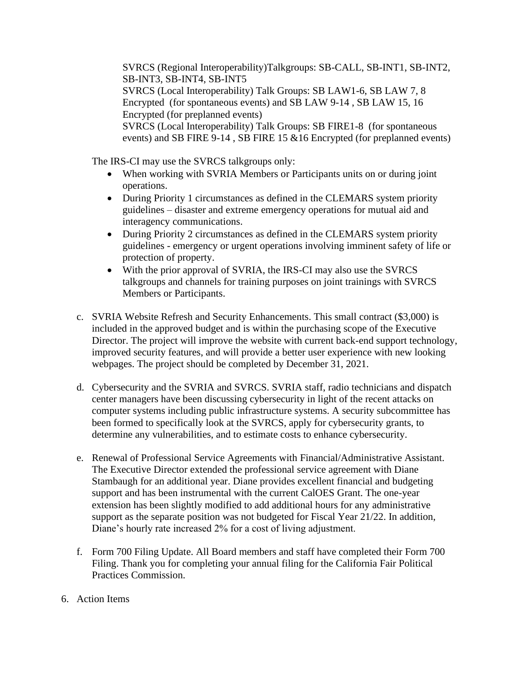SVRCS (Regional Interoperability)Talkgroups: SB-CALL, SB-INT1, SB-INT2, SB-INT3, SB-INT4, SB-INT5 SVRCS (Local Interoperability) Talk Groups: SB LAW1-6, SB LAW 7, 8 Encrypted (for spontaneous events) and SB LAW 9-14 , SB LAW 15, 16 Encrypted (for preplanned events) SVRCS (Local Interoperability) Talk Groups: SB FIRE1-8 (for spontaneous events) and SB FIRE 9-14 , SB FIRE 15 &16 Encrypted (for preplanned events)

The IRS-CI may use the SVRCS talkgroups only:

- When working with SVRIA Members or Participants units on or during joint operations.
- During Priority 1 circumstances as defined in the CLEMARS system priority guidelines – disaster and extreme emergency operations for mutual aid and interagency communications.
- During Priority 2 circumstances as defined in the CLEMARS system priority guidelines - emergency or urgent operations involving imminent safety of life or protection of property.
- With the prior approval of SVRIA, the IRS-CI may also use the SVRCS talkgroups and channels for training purposes on joint trainings with SVRCS Members or Participants.
- c. SVRIA Website Refresh and Security Enhancements. This small contract (\$3,000) is included in the approved budget and is within the purchasing scope of the Executive Director. The project will improve the website with current back-end support technology, improved security features, and will provide a better user experience with new looking webpages. The project should be completed by December 31, 2021.
- d. Cybersecurity and the SVRIA and SVRCS. SVRIA staff, radio technicians and dispatch center managers have been discussing cybersecurity in light of the recent attacks on computer systems including public infrastructure systems. A security subcommittee has been formed to specifically look at the SVRCS, apply for cybersecurity grants, to determine any vulnerabilities, and to estimate costs to enhance cybersecurity.
- e. Renewal of Professional Service Agreements with Financial/Administrative Assistant. The Executive Director extended the professional service agreement with Diane Stambaugh for an additional year. Diane provides excellent financial and budgeting support and has been instrumental with the current CalOES Grant. The one-year extension has been slightly modified to add additional hours for any administrative support as the separate position was not budgeted for Fiscal Year 21/22. In addition, Diane's hourly rate increased 2% for a cost of living adjustment.
- f. Form 700 Filing Update. All Board members and staff have completed their Form 700 Filing. Thank you for completing your annual filing for the California Fair Political Practices Commission.
- 6. Action Items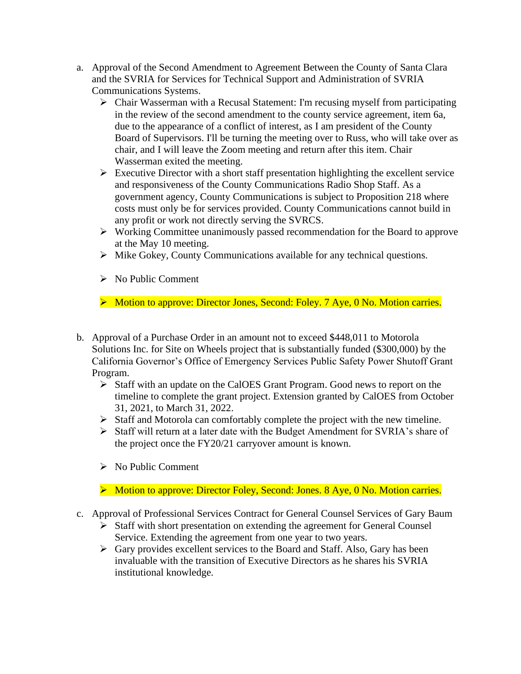- a. Approval of the Second Amendment to Agreement Between the County of Santa Clara and the SVRIA for Services for Technical Support and Administration of SVRIA Communications Systems.
	- ➢ Chair Wasserman with a Recusal Statement: I'm recusing myself from participating in the review of the second amendment to the county service agreement, item 6a, due to the appearance of a conflict of interest, as I am president of the County Board of Supervisors. I'll be turning the meeting over to Russ, who will take over as chair, and I will leave the Zoom meeting and return after this item. Chair Wasserman exited the meeting.
	- ➢ Executive Director with a short staff presentation highlighting the excellent service and responsiveness of the County Communications Radio Shop Staff. As a government agency, County Communications is subject to Proposition 218 where costs must only be for services provided. County Communications cannot build in any profit or work not directly serving the SVRCS.
	- ➢ Working Committee unanimously passed recommendation for the Board to approve at the May 10 meeting.
	- ➢ Mike Gokey, County Communications available for any technical questions.
	- ➢ No Public Comment

➢ Motion to approve: Director Jones, Second: Foley. 7 Aye, 0 No. Motion carries.

- b. Approval of a Purchase Order in an amount not to exceed \$448,011 to Motorola Solutions Inc. for Site on Wheels project that is substantially funded (\$300,000) by the California Governor's Office of Emergency Services Public Safety Power Shutoff Grant Program.
	- ➢ Staff with an update on the CalOES Grant Program. Good news to report on the timeline to complete the grant project. Extension granted by CalOES from October 31, 2021, to March 31, 2022.
	- ➢ Staff and Motorola can comfortably complete the project with the new timeline.
	- ➢ Staff will return at a later date with the Budget Amendment for SVRIA's share of the project once the FY20/21 carryover amount is known.
	- ➢ No Public Comment
	- ➢ Motion to approve: Director Foley, Second: Jones. 8 Aye, 0 No. Motion carries.
- c. Approval of Professional Services Contract for General Counsel Services of Gary Baum
	- ➢ Staff with short presentation on extending the agreement for General Counsel Service. Extending the agreement from one year to two years.
	- ➢ Gary provides excellent services to the Board and Staff. Also, Gary has been invaluable with the transition of Executive Directors as he shares his SVRIA institutional knowledge.